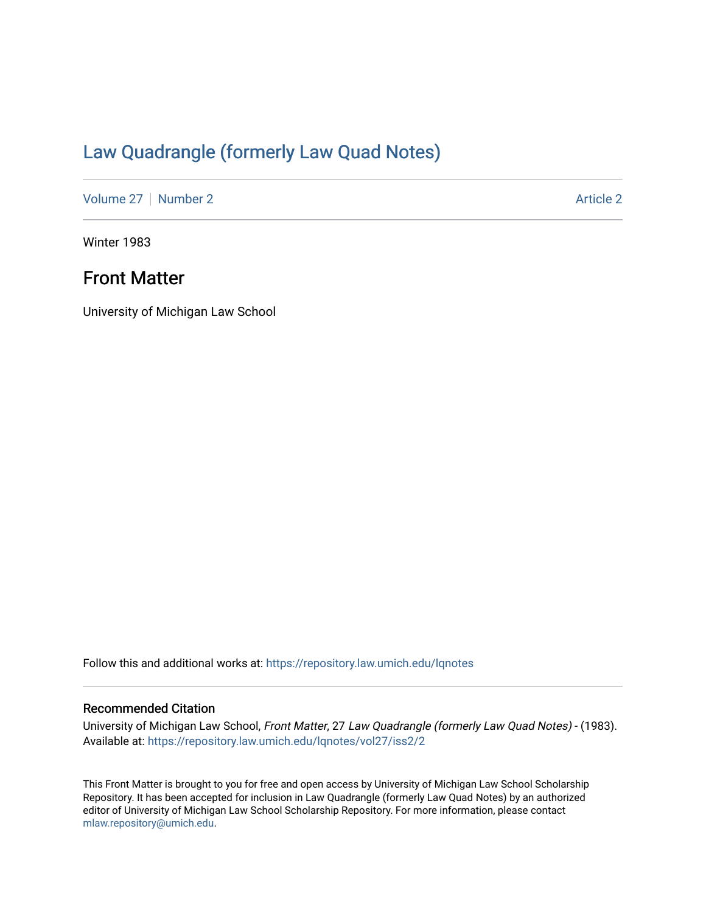# [Law Quadrangle \(formerly Law Quad Notes\)](https://repository.law.umich.edu/lqnotes)

[Volume 27](https://repository.law.umich.edu/lqnotes/vol27) | [Number 2](https://repository.law.umich.edu/lqnotes/vol27/iss2) Article 2

Winter 1983

## Front Matter

University of Michigan Law School

Follow this and additional works at: [https://repository.law.umich.edu/lqnotes](https://repository.law.umich.edu/lqnotes?utm_source=repository.law.umich.edu%2Flqnotes%2Fvol27%2Fiss2%2F2&utm_medium=PDF&utm_campaign=PDFCoverPages) 

### Recommended Citation

University of Michigan Law School, Front Matter, 27 Law Quadrangle (formerly Law Quad Notes) - (1983). Available at: [https://repository.law.umich.edu/lqnotes/vol27/iss2/2](https://repository.law.umich.edu/lqnotes/vol27/iss2/2?utm_source=repository.law.umich.edu%2Flqnotes%2Fvol27%2Fiss2%2F2&utm_medium=PDF&utm_campaign=PDFCoverPages) 

This Front Matter is brought to you for free and open access by University of Michigan Law School Scholarship Repository. It has been accepted for inclusion in Law Quadrangle (formerly Law Quad Notes) by an authorized editor of University of Michigan Law School Scholarship Repository. For more information, please contact [mlaw.repository@umich.edu.](mailto:mlaw.repository@umich.edu)